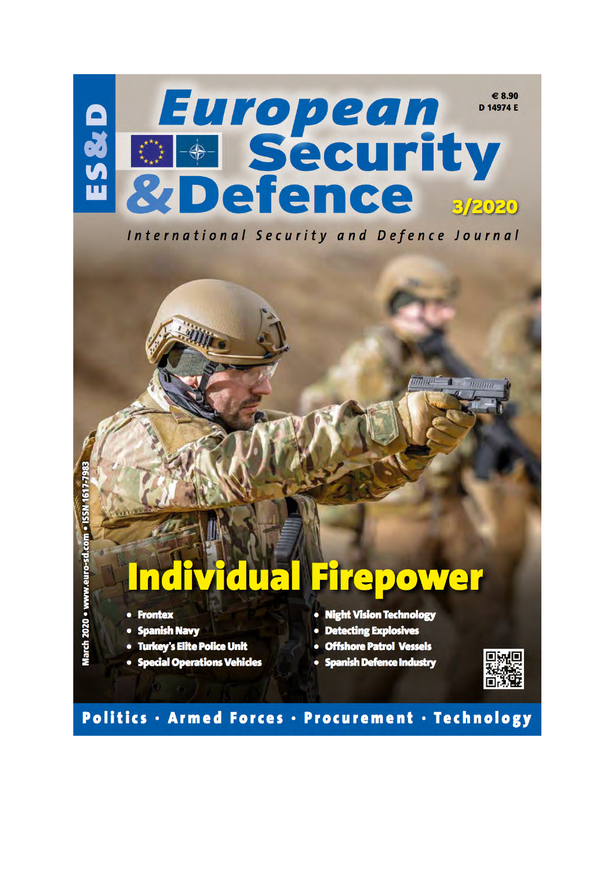

International Security and Defence Journal

## **Firepower**  $\overline{\textbf{d}}$   $\overline{\textbf{u}}$   $\overline{\textbf{c}}$

- Frontex
- Spanish Navy
- · Turkey's Elite Police Unit
- Special Operations Vehicles
- Night Vision Technology

 $mm \equiv$ 

 $\overline{m}$ 

- Detecting Explosives
- · Offshore Patrol Vessels
- · Spanish Defence Industry



## Politics · Armed Forces · Procurement · Technology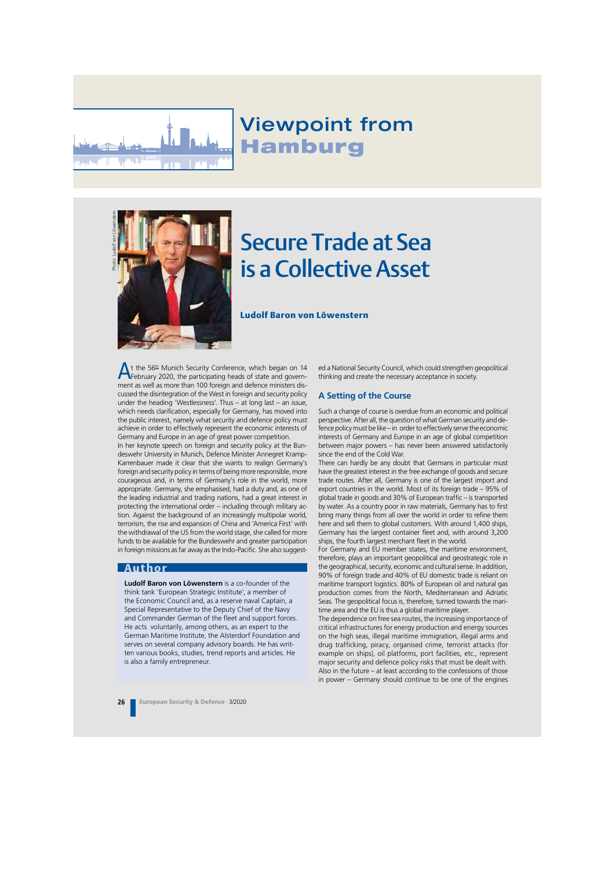

## Viewpoint from **Hamburg**



# Secure Trade at Sea is a Collective Asset

Ludolf Baron von Löwenstern

At the 56<sup>th</sup> Munich Security Conference, which began on 14<br>February 2020, the participating heads of state and government as well as more than 100 foreign and defence ministers discussed the disintegration of the West in foreign and security policy under the heading 'Westlessness'. Thus – at long last – an issue, which needs clarification, especially for Germany, has moved into the public interest, namely what security and defence policy must achieve in order to effectively represent the economic interests of Germany and Europe in an age of great power competition.

In her keynote speech on foreign and security policy at the Bundeswehr University in Munich, Defence Minister Annegret Kramp-Karrenbauer made it clear that she wants to realign Germany's foreign and security policy in terms of being more responsible, more courageous and, in terms of Germany's role in the world, more appropriate. Germany, she emphasised, had a duty and, as one of the leading industrial and trading nations, had a great interest in protecting the international order – including through military action. Against the background of an increasingly multipolar world, terrorism, the rise and expansion of China and 'America First' with the withdrawal of the US from the world stage, she called for more funds to be available for the Bundeswehr and greater participation in foreign missions as far away as the Indo-Pacific. She also suggest-

#### Author

**Ludolf Baron von Löwenstern** is a co-founder of the think tank 'European Strategic Institute', a member of the Economic Council and, as a reserve naval Captain, a Special Representative to the Deputy Chief of the Navy and Commander German of the fleet and support forces. He acts voluntarily, among others, as an expert to the German Maritime Institute, the Alsterdorf Foundation and serves on several company advisory boards. He has written various books, studies, trend reports and articles. He is also a family entrepreneur.

ed a National Security Council, which could strengthen geopolitical thinking and create the necessary acceptance in society.

#### **A Setting of the Course**

Such a change of course is overdue from an economic and political perspective. After all, the question of what German security and defence policy must be like – in order to effectively serve the economic interests of Germany and Europe in an age of global competition between major powers – has never been answered satisfactorily since the end of the Cold War.

There can hardly be any doubt that Germans in particular must have the greatest interest in the free exchange of goods and secure trade routes. After all, Germany is one of the largest import and export countries in the world. Most of its foreign trade – 95% of global trade in goods and 30% of European traffic – is transported by water. As a country poor in raw materials, Germany has to first bring many things from all over the world in order to refine them here and sell them to global customers. With around 1,400 ships, Germany has the largest container fleet and, with around 3,200 ships, the fourth largest merchant fleet in the world.

For Germany and EU member states, the maritime environment, therefore, plays an important geopolitical and geostrategic role in the geographical, security, economic and cultural sense. In addition, 90% of foreign trade and 40% of EU domestic trade is reliant on maritime transport logistics. 80% of European oil and natural gas production comes from the North, Mediterranean and Adriatic Seas. The geopolitical focus is, therefore, turned towards the maritime area and the EU is thus a global maritime player.

The dependence on free sea routes, the increasing importance of critical infrastructures for energy production and energy sources on the high seas, illegal maritime immigration, illegal arms and drug trafficking, piracy, organised crime, terrorist attacks (for example on ships), oil platforms, port facilities, etc., represent major security and defence policy risks that must be dealt with. Also in the future – at least according to the confessions of those in power – Germany should continue to be one of the engines